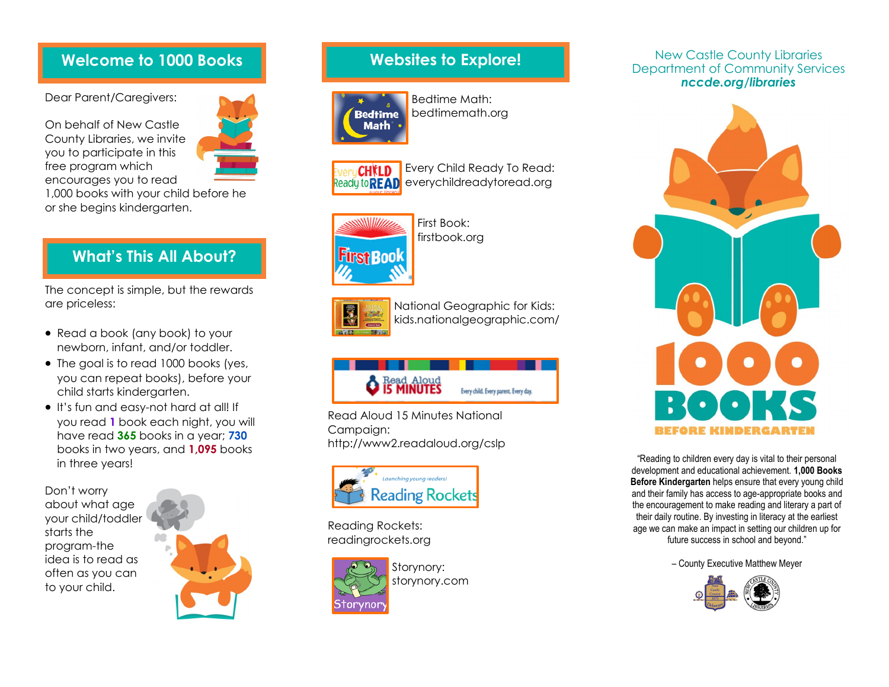# **Welcome to 1000 Books**

Dear Parent/Caregivers:

On behalf of New Castle County Libraries, we invite you to participate in this free program which encourages you to read



1,000 books with your child before he or she begins kindergarten.

# **What's This All About?**

The concept is simple, but the rewards are priceless:

- Read a book (any book) to your newborn, infant, and/or toddler.
- The goal is to read 1000 books (yes, you can repeat books), before your child starts kindergarten.
- It's fun and easy-not hard at all! If you read **1** book each night, you will have read **365** books in a year; **730** books in two years, and **1,095** books in three years!

Don't worry about what age your child/toddler starts the program-the idea is to read as often as you can to your child.



# **Websites to Explore!**



Bedtime Math: bedtimemath.org



Every Child Ready To Read: Ready to **READ** everychildreadytoread.org



First Book: firstbook.org



National Geographic for Kids: kids.nationalgeographic.com/



Read Aloud 15 Minutes National Campaign: http://www2.readaloud.org/cslp



Reading Rockets: readingrockets.org



Storynory: storynory.com

## New Castle County Libraries Department of Community Services *nccde.org/libraries*



"Reading to children every day is vital to their personal development and educational achievement. **1,000 Books Before Kindergarten** helps ensure that every young child and their family has access to age-appropriate books and the encouragement to make reading and literary a part of their daily routine. By investing in literacy at the earliest age we can make an impact in setting our children up for future success in school and beyond."

– County Executive Matthew Meyer